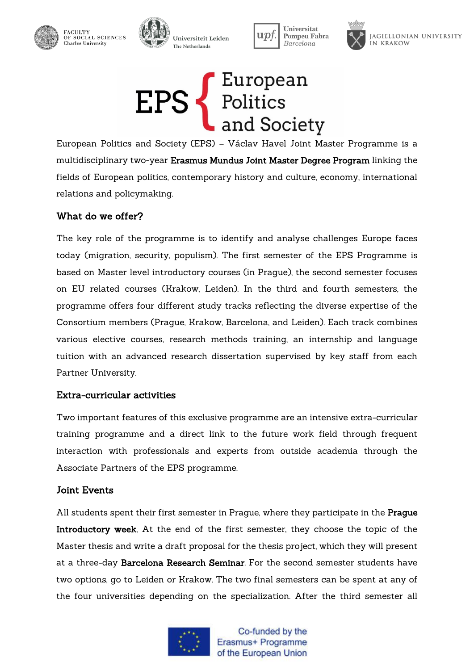







JAGIELLONIAN UNIVERSITY IN KRAKOW



European Politics and Society (EPS) – Václav Havel Joint Master Programme is a multidisciplinary two-year Erasmus Mundus Joint Master Degree Program linking the fields of European politics, contemporary history and culture, economy, international relations and policymaking.

### What do we offer?

The key role of the programme is to identify and analyse challenges Europe faces today (migration, security, populism). The first semester of the EPS Programme is based on Master level introductory courses (in Prague), the second semester focuses on EU related courses (Krakow, Leiden). In the third and fourth semesters, the programme offers four different study tracks reflecting the diverse expertise of the Consortium members (Prague, Krakow, Barcelona, and Leiden). Each track combines various elective courses, research methods training, an internship and language tuition with an advanced research dissertation supervised by key staff from each Partner University.

#### Extra-curricular activities

Two important features of this exclusive programme are an intensive extra-curricular training programme and a direct link to the future work field through frequent interaction with professionals and experts from outside academia through the Associate Partners of the EPS programme.

#### Joint Events

All students spent their first semester in Prague, where they participate in the Prague Introductory week, At the end of the first semester, they choose the topic of the Master thesis and write a draft proposal for the thesis project, which they will present at a three-day Barcelona Research Seminar. For the second semester students have two options, go to Leiden or Krakow. The two final semesters can be spent at any of the four universities depending on the specialization. After the third semester all